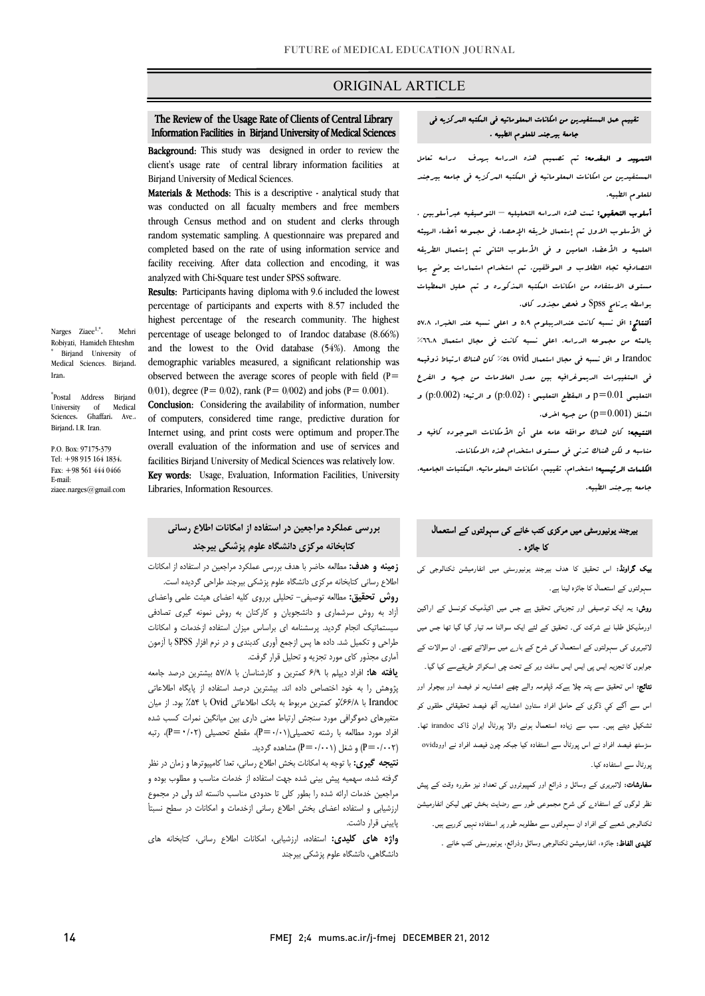### ORIGINAL ARTICLE

# The Review of the Usage Rate of Clients of Central Library Information Facilities in Birjand University of Medical Sciences

Ī

**Background:** This study was designed in order to review the client's usage rate of central library information facilities at Birjand University of Medical Sciences.

Materials & Methods: This is a descriptive - analytical study that was conducted on all facualty members and free members random systematic sampling. A questionnaire was prepared and completed based on the rate of using information service and facility receiving. After data collection and encoding, it was analyzed with Chi-Square test under SPSS software. through Census method and on student and clerks through

 Results: Participants having diploma with 9.6 included the lowest highest percentage of the research community. The highest percentage of useage belonged to of Irandoc database (8.66%) and the lowest to the Ovid database (54%). Among the demographic variables measured, a significant relationship was observed between the average scores of people with field  $(P=$ percentage of participants and experts with 8.57 included the 0/01), degree (P= 0/02), rank (P= 0/002) and jobs (P= 0.001).

Conclusion: Considering the availability of information, number of computers, considered time range, predictive duration for Internet using, and print costs were optimum and proper.The overall evaluation of the information and use of services and Rey words: Usage, Evaluation, Information Facilities, University facilities Birjand University of Medical Sciences was relatively low.

Libraries, Information Resources.

#### Ì **كتابخانه مركزي دانشگاه علوم پزشكي بيرجند بررسي عملكرد مراجعين در استفاده از امكانات اطلاع رساني**

 **زمينه و هدف:** مطالعه حاضر با هدف بررسي عملكرد مراجعين در استفاده از امكانات اطلاع رساني كتابخانه مركزي دانشگاه علوم پزشكي بيرجند طراحي گرديده است.

 **روش تحقيق:** مطالعه توصيفي- تحليلي برروي كليه اعضاي هيئت علمي واعضاي سيستماتيك انجام گرديد. پرسشنامه اي براساس ميزان استفاده ازخدمات و امكانات طراحي و تكميل شد. داده ها پس ازجمع آوري كدبندي و در نرم افزار SPSS با آزمون آماري مجذور كاي مورد تجزيه و تحليل قرار گرفت. آزاد به روش سرشماري و دانشجويان و كاركنان به روش نمونه گيري تصادفي

 **يافته ها:** افراد ديپلم با 6/9 كمترين و كارشناسان با 57/8 بيشترين درصد جامعه پژوهش را به خود اختصاص داده اند. بيشترين درصد استفاده از پايگاه اطلاعاتي Irandoc با %66/8و كمترين مربوط به بانك اطلاعاتي Ovid با %54 بود. از ميان متغيرهاي دموگرافي مورد سنجش ارتباط معني داري بين ميانگين نمرات كسب شده (0/002=P (و شغل (0/001=P (مشاهده گرديد. افراد مورد مطالعه با رشته تحصيلي $(P=·/·)$ ، مقطع تحصيلي  $(P=·/•)$ ، رتبه

 **نتيجه گيري:** با توجه به امكانات بخش اطلاع رساني، تعدا كامپيوترها و زمان در نظر گرفته شده، سهميه پيش بيني شده جهت استفاده از خدمات مناسب و مطلوب بوده و مراجعين خدمات ارائه شده را بطور كلي تا حدودي مناسب دانسته اند ولي در مجموع ارزشيابي و استفاده اعضاي بخش اطلاع رساني ازخدمات و امكانات در سطح نسبتأ پاييني قرار داشت.

 **واژه هاي كليدي:** استفاده، ارزشيابي، امكانات اطلاع رساني، كتابخانه هاي دانشگاه*ي*، دانشگاه علوم پزشك*ي* بيرجند

### تقييم عمل المستفيدين من امكانات المعلوماتيه في المكتبه المركزيه في جامعة بيرجند للعلوم الطبيه .

Ī

 التمهيد و المقدمه: تم تصميم هذه الدراسه بهدف دراسه تعامل المستفيدين من امكانات المعلومانيه في المكتبه المركزيه في جامعه بيرجند للعلوم الطبيه.

 أسلوب التحقيق: تمت هذه الدراسه التحليليه – التوصيفيه عبرأسلوبين . في الأسلوب الاول تم إستعمال طريقه الإحصاء في مجموعه أعضاء الهيئه العلميه و الأعضاء العامين و في الأسلوب الثاني تم إستعمال الطريقه التصادفيه تجاه الطلاب و الموظفين. تم استخدام استمارات يوضح بها مستوي الاستفاده من امكانات المكتبه المذكوره و تم حليل المعطيات بواسطه برنامج Spss و فحص مجذور كاي.

 ألنتائج: اقل نسبه كانت عندالديبلوم 5.9 و اعلي نسبه عند الخبراء 57.8 بالمئه من مجموعه الدراسه. اعلي نسبه كانت في مجال استعمال %66.8 Irandoc و اقل نسبه في مجال استعمال ovid %54 كان هناك ارتباط ذوقيمه في المتغييرات الديموغرافيه بين معدل العلامات من جهه و الفرع التعليمى  $0.01$ p و العقطع التعليمى : (p:0.02 ${\rm p}$  و الرتبه: (p:0.002 ${\rm p}$  و الشغل  $\left( \mathrm{p} \text{=} 0.001 \right)$  من جهه اخری.

 النتيجه: كان هناك موافقه عامه علي أن الأمكانات الموجوده كافيه و مناسبه و لكن هناك تدني في مستوي استخدام هذه الامكانات.

 الكلمات الرئيسيه: استخدام، تقييم، امكانات المعلوماتيه، المكتبات الجامعيه، جامعه بيرجند الطبيه.

### بیرجند یونیورسٹی میں مرکزی کتب خانے کی سہولتوں کے استعمال کا جائزہ ۔

**یک گراونڈ:** اس تحقیق کا ھدف بیرجند یونیورسٹی میں انفارمیشن ٹکنالوجی کی سہولتوں کے استعمال کا جائزہ لینا ہے۔

 روش: یہ ایک توصیفی اور تجزیاتی تحقیق ہے جس میں اکیڈمیک کونسل کے اراکین اورمڈیکل طلبا نے شرکت کی۔ تحقیق کے لئے ایک سوالنا مہ تیار گیا گيا تھا جس میں لائبریری کی سہولتوں کے استعمال کی شرح کے بارے میں سوالاتے تھے۔ ان سوالات کے جوابوں کا تجزیہ ایس پی ایس ایس سافٹ ویر کے تحت چی اسکوائر طریقےسے کیا گيا۔ نتائج: اس تحقیق سے پتہ چلا ہےکہ ڈپلومہ والے چھے اعشاریہ نو فیصد اور بیچولر اور اس سے آگے کي ڈگری کے حامل افراد ستاون اعشاریہ آٹھ فیصد تحقیقاتی حلقوں کو تشکیل دیتے ہیں۔ سب سے زیادہ استعمال ہونے والا پورٹال ایران ڈاک irandoc تھا۔ سڑسٹھ فیصد افراد نے اس پورٹال سے استفادہ کیا جبکہ چون فیصد افراد نے اوودovid پورٹال سے استفادہ کیا۔

**سفارشات:** لائبریری کے وسائل و ذرائع اور کمپیوٹروں کی تعداد نیز مقررہ وقت کے پیش<br>۔ نظر لوگوں کے استفادے کی شرح مجموعی طور سے رضایت بخش تھی لیکن انفارمیشن ٹکنالوجی شعبے کے افراد ان سہولتوں سے مطلوبہ طور پر استفادہ نہیں کررہے ہیں۔

کلیدی الفاظ: جائزہ، انفارمیشن ٹکنالوجی وسائل وذرائع، یونیورسٹی کتب خانے ۔

Narges Ziaee<sup>1,\*</sup>. Mehri

\* Postal Address Birjand University of Medical Sciences، Ghaffari، Ave.، Birjand، I.R. Iran.

P.O. Box: 97175-379 Tel: +98 915 164 1834، Fax: +98 561 444 0466 E-mail: ziaee.narges@gmail.com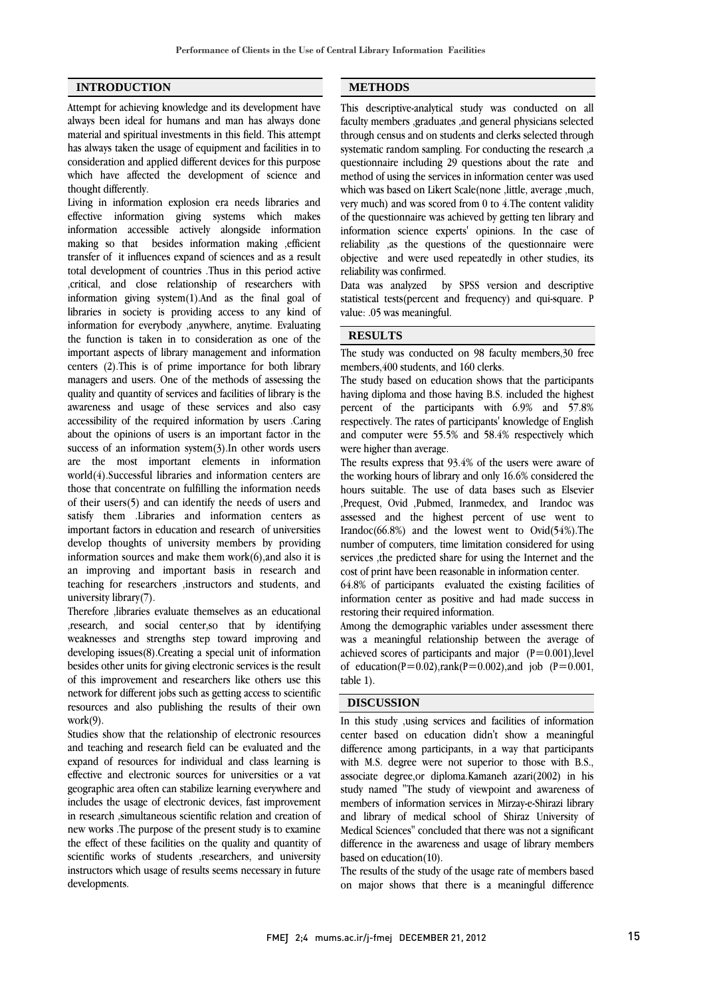### **INTRODUCTION**

Attempt for achieving knowledge and its development have always been ideal for humans and man has always done material and spiritual investments in this field. This attempt has always taken the usage of equipment and facilities in to consideration and applied different devices for this purpose which have affected the development of science and thought differently.

Living in information explosion era needs libraries and effective information giving systems which makes information accessible actively alongside information making so that besides information making ,efficient transfer of it influences expand of sciences and as a result total development of countries .Thus in this period active ,critical, and close relationship of researchers with information giving system(1).And as the final goal of libraries in society is providing access to any kind of information for everybody ,anywhere, anytime. Evaluating the function is taken in to consideration as one of the important aspects of library management and information centers (2).This is of prime importance for both library managers and users. One of the methods of assessing the quality and quantity of services and facilities of library is the awareness and usage of these services and also easy accessibility of the required information by users .Caring about the opinions of users is an important factor in the success of an information system(3).In other words users are the most important elements in information world(4).Successful libraries and information centers are those that concentrate on fulfilling the information needs of their users(5) and can identify the needs of users and satisfy them .Libraries and information centers as important factors in education and research of universities develop thoughts of university members by providing information sources and make them  $work(6)$ , and also it is an improving and important basis in research and teaching for researchers ,instructors and students, and university library(7).

Therefore ,libraries evaluate themselves as an educational ,research, and social center,so that by identifying weaknesses and strengths step toward improving and developing issues(8).Creating a special unit of information besides other units for giving electronic services is the result of this improvement and researchers like others use this network for different jobs such as getting access to scientific resources and also publishing the results of their own work(9).

Studies show that the relationship of electronic resources and teaching and research field can be evaluated and the expand of resources for individual and class learning is effective and electronic sources for universities or a vat geographic area often can stabilize learning everywhere and includes the usage of electronic devices, fast improvement in research ,simultaneous scientific relation and creation of new works .The purpose of the present study is to examine the effect of these facilities on the quality and quantity of scientific works of students ,researchers, and university instructors which usage of results seems necessary in future developments.

### **METHODS**

֦

 This descriptive-analytical study was conducted on all faculty members ,graduates ,and general physicians selected systematic random sampling. For conducting the research ,a questionnaire including 29 questions about the rate and method of using the services in information center was used which was based on Likert Scale(none ,little, average ,much, of the questionnaire was achieved by getting ten library and information science experts' opinions. In the case of reliability ,as the questions of the questionnaire were objective and were used repeatedly in other studies, its through census and on students and clerks selected through very much) and was scored from 0 to 4.The content validity reliability was confirmed.

 Data was analyzed by SPSS version and descriptive statistical tests(percent and frequency) and qui-square. P value: .05 was meaningful.

## **RESULTS**

 The study was conducted on 98 faculty members,30 free members,400 students, and 160 clerks.

 The study based on education shows that the participants having diploma and those having B.S. included the highest respectively. The rates of participants' knowledge of English and computer were 55.5% and 58.4% respectively which were higher than average. percent of the participants with 6.9% and 57.8%

 The results express that 93.4% of the users were aware of hours suitable. The use of data bases such as Elsevier ,Prequest, Ovid ,Pubmed, Iranmedex, and Irandoc was assessed and the highest percent of use went to Irandoc(66.8%) and the lowest went to Ovid(54%).The services , the predicted share for using the Internet and the cost of print have been reasonable in information center. the working hours of library and only 16.6% considered the number of computers, time limitation considered for using

 64.8% of participants evaluated the existing facilities of information center as positive and had made success in restoring their required information.

Among the demographic variables under assessment there was a meaningful relationship between the average of achieved scores of participants and major  $(P=0.001)$ , level of education(P=0.02),rank(P=0.002),and job (P=0.001,  $\overline{a}$ table 1).

### **DISCUSSION**

 In this study ,using services and facilities of information center based on education didn't show a meaningful with M.S. degree were not superior to those with B.S., associate degree,or diploma.Kamaneh azari(2002) in his study named "The study of viewpoint and awareness of members of information services in Mirzay-e-Shirazi library Medical Sciences" concluded that there was not a significant difference in the awareness and usage of library members based on education(10). difference among participants, in a way that participants and library of medical school of Shiraz University of

 The results of the study of the usage rate of members based on major shows that there is a meaningful difference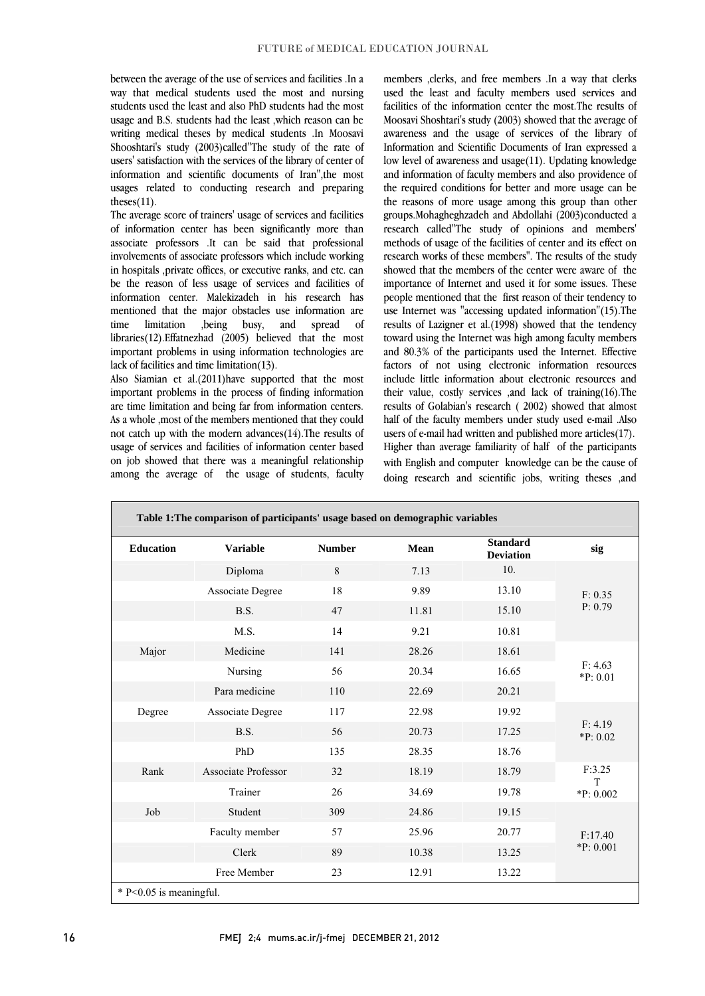between the average of the use of services and facilities .In a way that medical students used the most and nursing students used the least and also PhD students had the most writing medical theses by medical students .In Moosavi Shooshtari's study (2003)called"The study of the rate of users' satisfaction with the services of the library of center of information and scientific documents of Iran",the most usages related to conducting research and preparing usage and B.S. students had the least ,which reason can be theses $(11)$ .

 The average score of trainers' usage of services and facilities of information center has been significantly more than associate professors .It can be said that professional in hospitals ,private offices, or executive ranks, and etc. can be the reason of less usage of services and facilities of information center. Malekizadeh in his research has mentioned that the major obstacles use information are libraries(12).Effatnezhad (2005) believed that the most important problems in using information technologies are involvements of associate professors which include working time limitation ,being busy, and spread of lack of facilities and time limitation(13).

 Also Siamian et al.(2011)have supported that the most are time limitation and being far from information centers. As a whole ,most of the members mentioned that they could not catch up with the modern advances(14).The results of usage of services and facilities of information center based among the average of the usage of students, faculty important problems in the process of finding information on job showed that there was a meaningful relationship

 members ,clerks, and free members .In a way that clerks used the least and faculty members used services and facilities of the information center the most.The results of awareness and the usage of services of the library of Information and Scientific Documents of Iran expressed a low level of awareness and usage(11). Updating knowledge and information of faculty members and also providence of the required conditions for better and more usage can be groups.Mohagheghzadeh and Abdollahi (2003)conducted a research called"The study of opinions and members' methods of usage of the facilities of center and its effect on showed that the members of the center were aware of the importance of Internet and used it for some issues. These people mentioned that the first reason of their tendency to use Internet was "accessing updated information"(15).The results of Lazigner et al.(1998) showed that the tendency and 80.3% of the participants used the Internet. Effective factors of not using electronic information resources include little information about electronic resources and results of Golabian's research ( 2002) showed that almost half of the faculty members under study used e-mail .Also users of e-mail had written and published more articles(17). Higher than average familiarity of half of the participants with English and computer knowledge can be the cause of doing research and scientific jobs, writing theses ,and Moosavi Shoshtari's study (2003) showed that the average of the reasons of more usage among this group than other research works of these members". The results of the study toward using the Internet was high among faculty members their value, costly services ,and lack of training(16).The

| Table 1: The comparison of participants' usage based on demographic variables |                     |               |       |                                     |                     |
|-------------------------------------------------------------------------------|---------------------|---------------|-------|-------------------------------------|---------------------|
| <b>Education</b>                                                              | <b>Variable</b>     | <b>Number</b> | Mean  | <b>Standard</b><br><b>Deviation</b> | sig                 |
|                                                                               | Diploma             | 8             | 7.13  | 10.                                 |                     |
|                                                                               | Associate Degree    | 18            | 9.89  | 13.10                               | F: 0.35<br>P: 0.79  |
|                                                                               | B.S.                | 47            | 11.81 | 15.10                               |                     |
|                                                                               | M.S.                | 14            | 9.21  | 10.81                               |                     |
| Major                                                                         | Medicine            | 141           | 28.26 | 18.61                               | F: 4.63<br>*P: 0.01 |
|                                                                               | Nursing             | 56            | 20.34 | 16.65                               |                     |
|                                                                               | Para medicine       | 110           | 22.69 | 20.21                               |                     |
| Degree                                                                        | Associate Degree    | 117           | 22.98 | 19.92                               | F: 4.19<br>*P: 0.02 |
|                                                                               | B.S.                | 56            | 20.73 | 17.25                               |                     |
|                                                                               | PhD                 | 135           | 28.35 | 18.76                               |                     |
| Rank                                                                          | Associate Professor | 32            | 18.19 | 18.79                               | F:3.25              |
|                                                                               | Trainer             | 26            | 34.69 | 19.78                               | T<br>*P: 0.002      |
| Job                                                                           | Student             | 309           | 24.86 | 19.15                               |                     |
|                                                                               | Faculty member      | 57            | 25.96 | 20.77                               | F:17.40             |
|                                                                               | Clerk               | 89            | 10.38 | 13.25                               | *P: 0.001           |
|                                                                               | Free Member         | 23            | 12.91 | 13.22                               |                     |
| $*$ P<0.05 is meaningful.                                                     |                     |               |       |                                     |                     |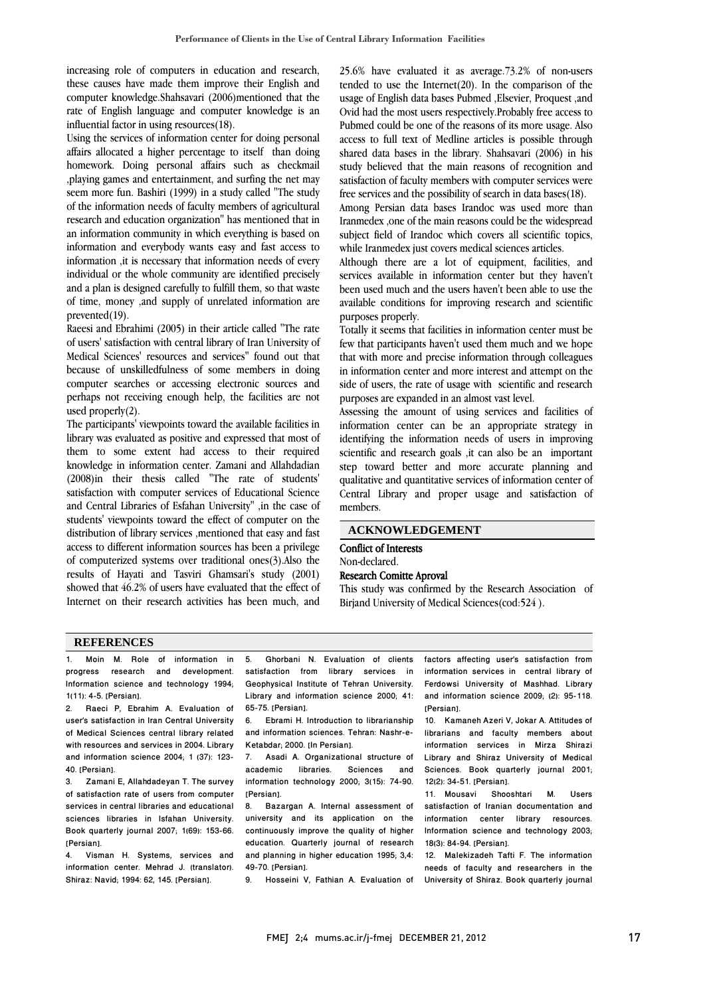increasing role of computers in education and research, these causes have made them improve their English and computer knowledge.Shahsavari (2006)mentioned that the rate of English language and computer knowledge is an influential factor in using resources(18).

Using the services of information center for doing personal affairs allocated a higher percentage to itself than doing homework. Doing personal affairs such as checkmail ,playing games and entertainment, and surfing the net may seem more fun. Bashiri (1999) in a study called "The study of the information needs of faculty members of agricultural research and education organization" has mentioned that in an information community in which everything is based on information and everybody wants easy and fast access to information ,it is necessary that information needs of every individual or the whole community are identified precisely and a plan is designed carefully to fulfill them, so that waste of time, money ,and supply of unrelated information are prevented(19).

Raeesi and Ebrahimi (2005) in their article called "The rate of users' satisfaction with central library of Iran University of Medical Sciences' resources and services" found out that because of unskilledfulness of some members in doing computer searches or accessing electronic sources and perhaps not receiving enough help, the facilities are not used properly(2).

The participants' viewpoints toward the available facilities in library was evaluated as positive and expressed that most of them to some extent had access to their required knowledge in information center. Zamani and Allahdadian (2008)in their thesis called "The rate of students' satisfaction with computer services of Educational Science and Central Libraries of Esfahan University" ,in the case of students' viewpoints toward the effect of computer on the distribution of library services ,mentioned that easy and fast access to different information sources has been a privilege of computerized systems over traditional ones(3).Also the results of Hayati and Tasviri Ghamsari's study (2001) showed that 46.2% of users have evaluated that the effect of Internet on their research activities has been much, and

 25.6% have evaluated it as average.73.2% of non-users usage of English data bases Pubmed ,Elsevier, Proquest ,and Ovid had the most users respectively.Probably free access to Pubmed could be one of the reasons of its more usage. Also access to full text of Medline articles is possible through study believed that the main reasons of recognition and satisfaction of faculty members with computer services were free services and the possibility of search in data bases(18). tended to use the Internet(20). In the comparison of the shared data bases in the library. Shahsavari (2006) in his

 Among Persian data bases Irandoc was used more than subject field of Irandoc which covers all scientific topics, while Iranmedex just covers medical sciences articles. Iranmedex ,one of the main reasons could be the widespread

 Although there are a lot of equipment, facilities, and services available in information center but they haven't available conditions for improving research and scientific purposes properly. been used much and the users haven't been able to use the

 Totally it seems that facilities in information center must be few that participants haven't used them much and we hope in information center and more interest and attempt on the side of users, the rate of usage with scientific and research purposes are expanded in an almost vast level. that with more and precise information through colleagues

 Assessing the amount of using services and facilities of identifying the information needs of users in improving scientific and research goals ,it can also be an important step toward better and more accurate planning and qualitative and quantitative services of information center of members. information center can be an appropriate strategy in Central Library and proper usage and satisfaction of

| <b>ACKNOWLEDGEMENT</b> |
|------------------------|
|                        |

#### Conflict of Interests Non-declared.

 $\overline{a}$ 

٦

# Research Comitte Aproval

 This study was confirmed by the Research Association of Birjand University of Medical Sciences(cod:524 ).

#### **REFERENCES**

Moin M. Role of information in progress research and development. Information science and technology 1994; 1(11): 4-5. [Persian].

2. Raeci P, Ebrahim A. Evaluation of user's satisfaction in Iran Central University of Medical Sciences central library related with resources and services in 2004. Library and information science 2004; 1 (37): 123- 40. [Persian].

3. Zamani E, Allahdadeyan T. The survey of satisfaction rate of users from computer services in central libraries and educational sciences libraries in Isfahan University. Book quarterly journal 2007; 1(69): 153-66. [Persian].

4. Visman H. Systems, services and information center. Mehrad J. (translator). Shiraz: Navid; 1994: 62, 145. [Persian].

 5. Ghorbani N. Evaluation of clients satisfaction from library services in Library and information science 2000; 41: Geophysical Institute of Tehran University. 65-75. [Persian].

 6. Ebrami H. Introduction to librarianship and information sciences. Tehran: Nashr-e-Ketabdar; 2000. [In Persian].<br>7. Asadi A. Organization

 7. Asadi A. Organizational structure of academic libraries. Sciences and information technology 2000; 3(15): 74-90. [Persian].

 8. Bazargan A. Internal assessment of continuously improve the quality of higher education. Quarterly journal of research and planning in higher education 1995; 3,4: university and its application on the 49-70. [Persian].

9. Hosseini V, Fathian A. Evaluation of

factors affecting user's satisfaction from information services in central library of Ferdowsi University of Mashhad. Library and information science 2009; (2): 95-118. [Persian].

10. Kamaneh Azeri V, Jokar A. Attitudes of librarians and faculty members about information services in Mirza Shirazi Library and Shiraz University of Medical Sciences. Book quarterly journal 2001; 12(2): 34-51. [Persian].

11. Mousavi Shooshtari M. Users satisfaction of Iranian documentation and information center library resources. Information science and technology 2003; 18(3): 84-94. [Persian].

12. Malekizadeh Tafti F. The information needs of faculty and researchers in the University of Shiraz. Book quarterly journal